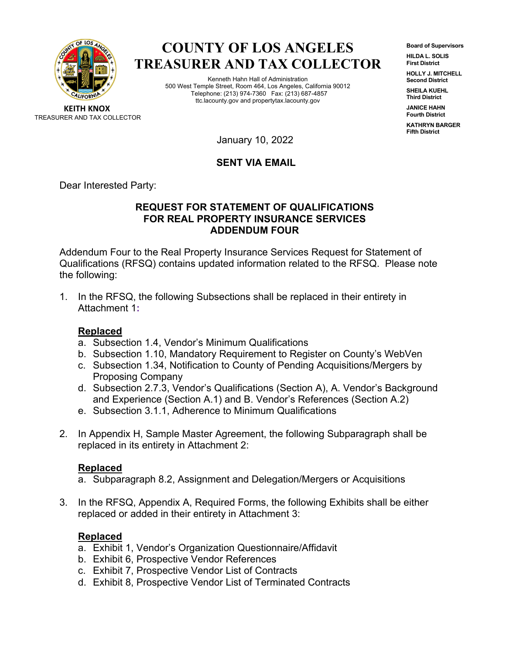

# **COUNTY OF LOS ANGELES TREASURER AND TAX COLLECTOR**

Kenneth Hahn Hall of Administration 500 West Temple Street, Room 464, Los Angeles, California 90012 Telephone: (213) 974-7360 Fax: (213) 687-4857 ttc.lacounty.gov and propertytax.lacounty.gov

**Board of Supervisors HILDA L. SOLIS First District**

**HOLLY J. MITCHELL Second District**

**SHEILA KUEHL Third District**

**JANICE HAHN Fourth District**

**KATHRYN BARGER Fifth District**

**KEITH KNOX** TREASURER AND TAX COLLECTOR

January 10, 2022

## **SENT VIA EMAIL**

Dear Interested Party:

### **REQUEST FOR STATEMENT OF QUALIFICATIONS FOR REAL PROPERTY INSURANCE SERVICES ADDENDUM FOUR**

Addendum Four to the Real Property Insurance Services Request for Statement of Qualifications (RFSQ) contains updated information related to the RFSQ. Please note the following:

1. In the RFSQ, the following Subsections shall be replaced in their entirety in Attachment 1**:**

## **Replaced**

- a. Subsection 1.4, Vendor's Minimum Qualifications
- b. Subsection 1.10, Mandatory Requirement to Register on County's WebVen
- c. Subsection 1.34, Notification to County of Pending Acquisitions/Mergers by Proposing Company
- d. Subsection 2.7.3, Vendor's Qualifications (Section A), A. Vendor's Background and Experience (Section A.1) and B. Vendor's References (Section A.2)
- e. Subsection 3.1.1, Adherence to Minimum Qualifications
- 2. In Appendix H, Sample Master Agreement, the following Subparagraph shall be replaced in its entirety in Attachment 2:

## **Replaced**

- a. Subparagraph 8.2, Assignment and Delegation/Mergers or Acquisitions
- 3. In the RFSQ, Appendix A, Required Forms, the following Exhibits shall be either replaced or added in their entirety in Attachment 3:

# **Replaced**

- a. Exhibit 1, Vendor's Organization Questionnaire/Affidavit
- b. Exhibit 6, Prospective Vendor References
- c. Exhibit 7, Prospective Vendor List of Contracts
- d. Exhibit 8, Prospective Vendor List of Terminated Contracts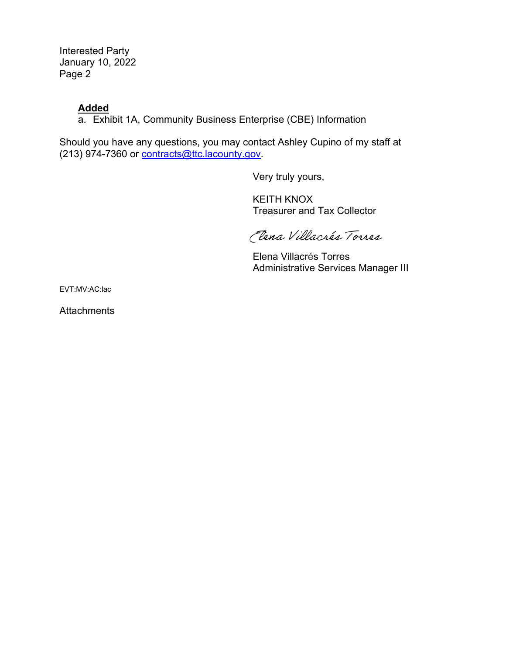Interested Party January 10, 2022 Page 2

## **Added**

a. Exhibit 1A, Community Business Enterprise (CBE) Information

Should you have any questions, you may contact Ashley Cupino of my staff at (213) 974-7360 or [contracts@ttc.lacounty.gov.](mailto:contracts@ttc.lacounty.gov)

Very truly yours,

KEITH KNOX Treasurer and Tax Collector

Clena Villacrés Torres

Elena Villacrés Torres Administrative Services Manager III

EVT:MV:AC:lac

**Attachments**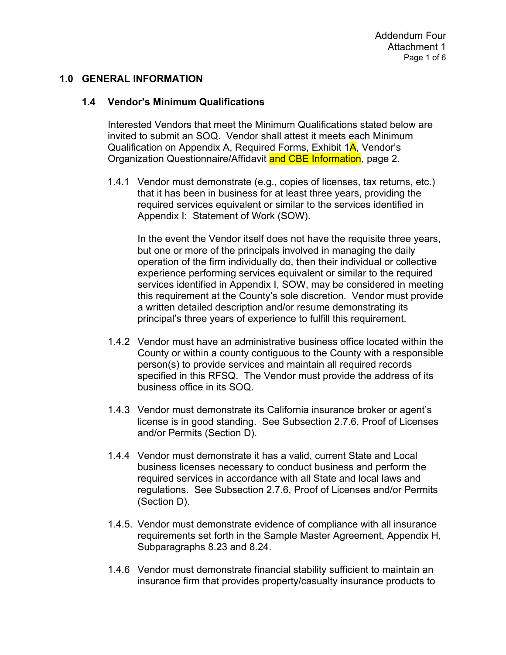### **1.0 GENERAL INFORMATION**

#### **1.4 Vendor's Minimum Qualifications**

Interested Vendors that meet the Minimum Qualifications stated below are invited to submit an SOQ. Vendor shall attest it meets each Minimum Qualification on Appendix A, Required Forms, Exhibit 1A, Vendor's Organization Questionnaire/Affidavit and CBE Information, page 2.

1.4.1 Vendor must demonstrate (e.g., copies of licenses, tax returns, etc.) that it has been in business for at least three years, providing the required services equivalent or similar to the services identified in Appendix I: Statement of Work (SOW).

In the event the Vendor itself does not have the requisite three years, but one or more of the principals involved in managing the daily operation of the firm individually do, then their individual or collective experience performing services equivalent or similar to the required services identified in Appendix I, SOW, may be considered in meeting this requirement at the County's sole discretion. Vendor must provide a written detailed description and/or resume demonstrating its principal's three years of experience to fulfill this requirement.

- 1.4.2 Vendor must have an administrative business office located within the County or within a county contiguous to the County with a responsible person(s) to provide services and maintain all required records specified in this RFSQ. The Vendor must provide the address of its business office in its SOQ.
- 1.4.3 Vendor must demonstrate its California insurance broker or agent's license is in good standing. See Subsection 2.7.6, Proof of Licenses and/or Permits (Section D).
- 1.4.4 Vendor must demonstrate it has a valid, current State and Local business licenses necessary to conduct business and perform the required services in accordance with all State and local laws and regulations. See Subsection 2.7.6, Proof of Licenses and/or Permits (Section D).
- 1.4.5. Vendor must demonstrate evidence of compliance with all insurance requirements set forth in the Sample Master Agreement, Appendix H, Subparagraphs 8.23 and 8.24.
- 1.4.6 Vendor must demonstrate financial stability sufficient to maintain an insurance firm that provides property/casualty insurance products to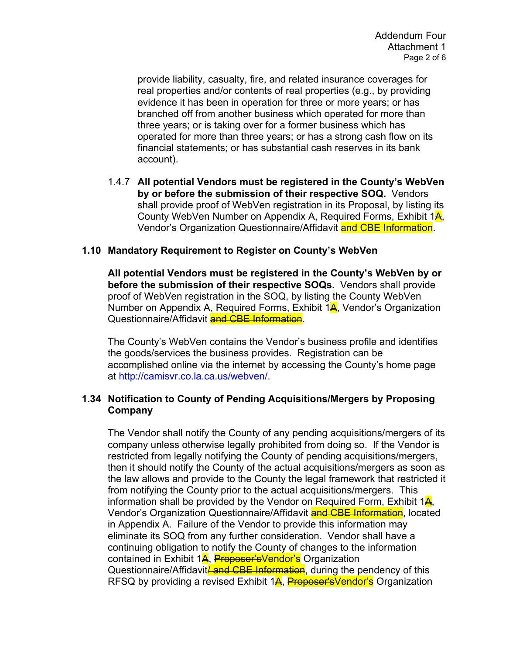provide liability, casualty, fire, and related insurance coverages for real properties and/or contents of real properties (e.g., by providing evidence it has been in operation for three or more years; or has branched off from another business which operated for more than three years; or is taking over for a former business which has operated for more than three years; or has a strong cash flow on its financial statements; or has substantial cash reserves in its bank account).

1.4.7 **All potential Vendors must be registered in the County's WebVen by or before the submission of their respective SOQ.** Vendors shall provide proof of WebVen registration in its Proposal, by listing its County WebVen Number on Appendix A, Required Forms, Exhibit 1<sup>4</sup>, Vendor's Organization Questionnaire/Affidavit and CBE Information.

### **1.10 Mandatory Requirement to Register on County's WebVen**

**All potential Vendors must be registered in the County's WebVen by or before the submission of their respective SOQs.** Vendors shall provide proof of WebVen registration in the SOQ, by listing the County WebVen Number on Appendix A, Required Forms, Exhibit  $1\frac{\text{A}}{\text{A}}$ , Vendor's Organization Questionnaire/Affidavit and CBE Information.

The County's WebVen contains the Vendor's business profile and identifies the goods/services the business provides. Registration can be accomplished online via the internet by accessing the County's home page at [http://camisvr.co.la.ca.us/webven/.](http://camisvr.co.la.ca.us/webven/)

### **1.34 Notification to County of Pending Acquisitions/Mergers by Proposing Company**

The Vendor shall notify the County of any pending acquisitions/mergers of its company unless otherwise legally prohibited from doing so. If the Vendor is restricted from legally notifying the County of pending acquisitions/mergers, then it should notify the County of the actual acquisitions/mergers as soon as the law allows and provide to the County the legal framework that restricted it from notifying the County prior to the actual acquisitions/mergers. This information shall be provided by the Vendor on Required Form, Exhibit  $1\frac{A}{A}$ , Vendor's Organization Questionnaire/Affidavit and CBE Information, located in Appendix A. Failure of the Vendor to provide this information may eliminate its SOQ from any further consideration. Vendor shall have a continuing obligation to notify the County of changes to the information contained in Exhibit 1A, Proposer'sVendor's Organization Questionnaire/Affidavit *and CBE Information*, during the pendency of this RFSQ by providing a revised Exhibit 1A, Proposer'sVendor's Organization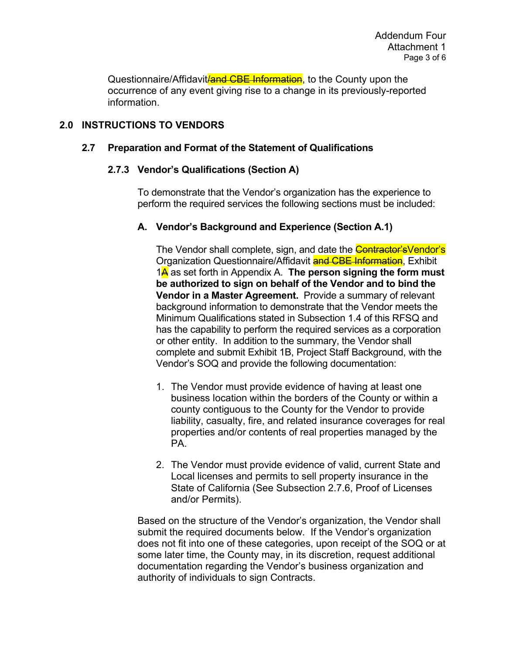Questionnaire/Affidavit*land CBE Information*, to the County upon the occurrence of any event giving rise to a change in its previously-reported information.

## **2.0 INSTRUCTIONS TO VENDORS**

### **2.7 Preparation and Format of the Statement of Qualifications**

### **2.7.3 Vendor's Qualifications (Section A)**

To demonstrate that the Vendor's organization has the experience to perform the required services the following sections must be included:

### **A. Vendor's Background and Experience (Section A.1)**

The Vendor shall complete, sign, and date the **Contractor's**Vendor's Organization Questionnaire/Affidavit **and CBE Information**, Exhibit 1A as set forth in Appendix A. **The person signing the form must be authorized to sign on behalf of the Vendor and to bind the Vendor in a Master Agreement.** Provide a summary of relevant background information to demonstrate that the Vendor meets the Minimum Qualifications stated in Subsection 1.4 of this RFSQ and has the capability to perform the required services as a corporation or other entity. In addition to the summary, the Vendor shall complete and submit Exhibit 1B, Project Staff Background, with the Vendor's SOQ and provide the following documentation:

- 1. The Vendor must provide evidence of having at least one business location within the borders of the County or within a county contiguous to the County for the Vendor to provide liability, casualty, fire, and related insurance coverages for real properties and/or contents of real properties managed by the PA.
- 2. The Vendor must provide evidence of valid, current State and Local licenses and permits to sell property insurance in the State of California (See Subsection 2.7.6, Proof of Licenses and/or Permits).

Based on the structure of the Vendor's organization, the Vendor shall submit the required documents below. If the Vendor's organization does not fit into one of these categories, upon receipt of the SOQ or at some later time, the County may, in its discretion, request additional documentation regarding the Vendor's business organization and authority of individuals to sign Contracts.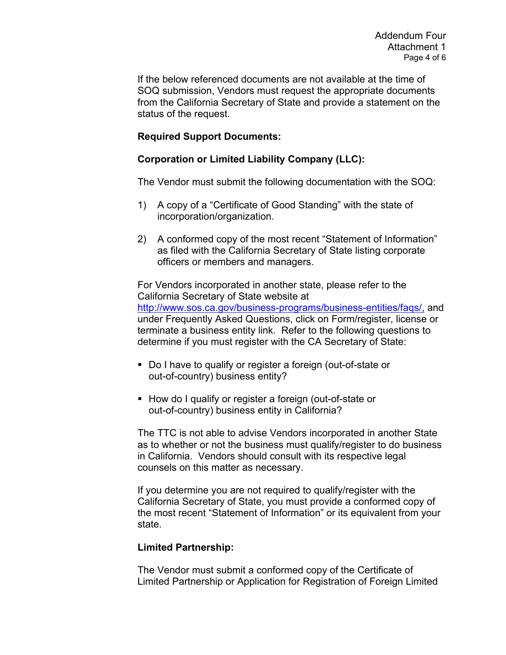If the below referenced documents are not available at the time of SOQ submission, Vendors must request the appropriate documents from the California Secretary of State and provide a statement on the status of the request.

### **Required Support Documents:**

### **Corporation or Limited Liability Company (LLC):**

The Vendor must submit the following documentation with the SOQ:

- 1) A copy of a "Certificate of Good Standing" with the state of incorporation/organization.
- 2) A conformed copy of the most recent "Statement of Information" as filed with the California Secretary of State listing corporate officers or members and managers.

For Vendors incorporated in another state, please refer to the California Secretary of State website at [http://www.sos.ca.gov/business-programs/business-entities/faqs/,](http://www.sos.ca.gov/business-programs/business-entities/faqs#/) and under Frequently Asked Questions, click on Form/register, license or terminate a business entity link. Refer to the following questions to determine if you must register with the CA Secretary of State:

- Do I have to qualify or register a foreign (out-of-state or out-of-country) business entity?
- How do I qualify or register a foreign (out-of-state or out-of-country) business entity in California?

The TTC is not able to advise Vendors incorporated in another State as to whether or not the business must qualify/register to do business in California. Vendors should consult with its respective legal counsels on this matter as necessary.

If you determine you are not required to qualify/register with the California Secretary of State, you must provide a conformed copy of the most recent "Statement of Information" or its equivalent from your state.

### **Limited Partnership:**

The Vendor must submit a conformed copy of the Certificate of Limited Partnership or Application for Registration of Foreign Limited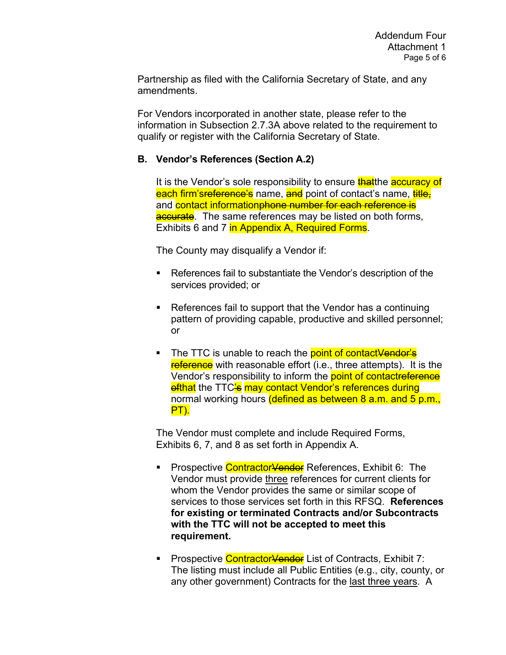Partnership as filed with the California Secretary of State, and any amendments.

For Vendors incorporated in another state, please refer to the information in Subsection 2.7.3A above related to the requirement to qualify or register with the California Secretary of State.

### **B. Vendor's References (Section A.2)**

It is the Vendor's sole responsibility to ensure that the accuracy of each firm's<del>reference's</del> name, and point of contact's name, title, and contact informationphone number for each reference is accurate. The same references may be listed on both forms, Exhibits 6 and 7 in Appendix A, Required Forms.

The County may disqualify a Vendor if:

- References fail to substantiate the Vendor's description of the services provided; or
- References fail to support that the Vendor has a continuing pattern of providing capable, productive and skilled personnel; or
- The TTC is unable to reach the point of contactVendor's reference with reasonable effort (i.e., three attempts). It is the Vendor's responsibility to inform the point of contactreference ofthat the TTC's may contact Vendor's references during normal working hours (defined as between 8 a.m. and 5 p.m., PT).

The Vendor must complete and include Required Forms, Exhibits 6, 7, and 8 as set forth in Appendix A.

- Prospective Contractor<del>Vendor</del> References, Exhibit 6: The Vendor must provide three references for current clients for whom the Vendor provides the same or similar scope of services to those services set forth in this RFSQ. **References for existing or terminated Contracts and/or Subcontracts with the TTC will not be accepted to meet this requirement.**
- **Prospective Contractor<del>Vendor</del>** List of Contracts, Exhibit 7: The listing must include all Public Entities (e.g., city, county, or any other government) Contracts for the last three years. A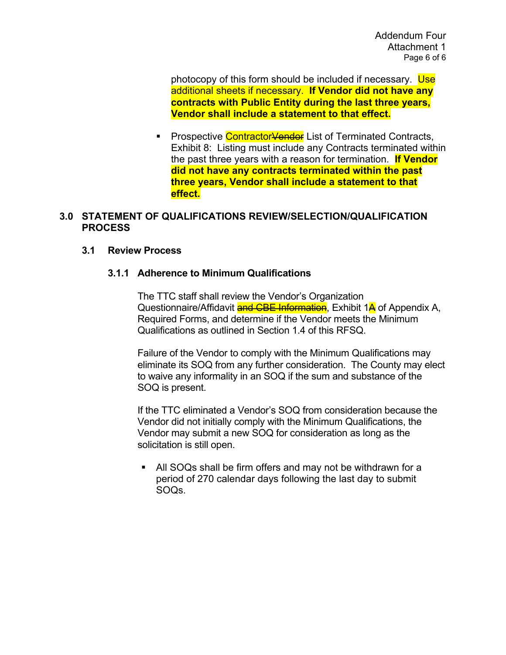photocopy of this form should be included if necessary. Use additional sheets if necessary. **If Vendor did not have any contracts with Public Entity during the last three years, Vendor shall include a statement to that effect.**

**Prospective ContractorVendor List of Terminated Contracts,** Exhibit 8: Listing must include any Contracts terminated within the past three years with a reason for termination. **If Vendor did not have any contracts terminated within the past three years, Vendor shall include a statement to that effect.**

### **3.0 STATEMENT OF QUALIFICATIONS REVIEW/SELECTION/QUALIFICATION PROCESS**

#### **3.1 Review Process**

#### **3.1.1 Adherence to Minimum Qualifications**

The TTC staff shall review the Vendor's Organization Questionnaire/Affidavit and CBE Information, Exhibit 1A of Appendix A, Required Forms, and determine if the Vendor meets the Minimum Qualifications as outlined in Section 1.4 of this RFSQ.

Failure of the Vendor to comply with the Minimum Qualifications may eliminate its SOQ from any further consideration. The County may elect to waive any informality in an SOQ if the sum and substance of the SOQ is present.

If the TTC eliminated a Vendor's SOQ from consideration because the Vendor did not initially comply with the Minimum Qualifications, the Vendor may submit a new SOQ for consideration as long as the solicitation is still open.

 All SOQs shall be firm offers and may not be withdrawn for a period of 270 calendar days following the last day to submit SOQs.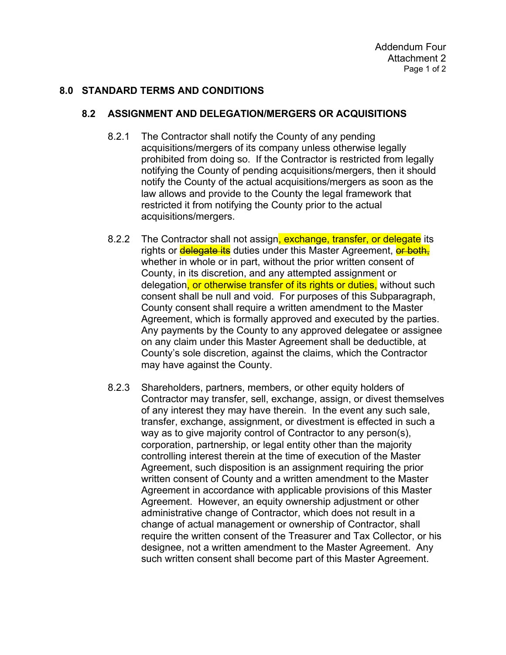### **8.0 STANDARD TERMS AND CONDITIONS**

### **8.2 ASSIGNMENT AND DELEGATION/MERGERS OR ACQUISITIONS**

- 8.2.1 The Contractor shall notify the County of any pending acquisitions/mergers of its company unless otherwise legally prohibited from doing so. If the Contractor is restricted from legally notifying the County of pending acquisitions/mergers, then it should notify the County of the actual acquisitions/mergers as soon as the law allows and provide to the County the legal framework that restricted it from notifying the County prior to the actual acquisitions/mergers.
- 8.2.2 The Contractor shall not assign, exchange, transfer, or delegate its rights or delegate its duties under this Master Agreement, or both, whether in whole or in part, without the prior written consent of County, in its discretion, and any attempted assignment or delegation, or otherwise transfer of its rights or duties, without such consent shall be null and void. For purposes of this Subparagraph, County consent shall require a written amendment to the Master Agreement, which is formally approved and executed by the parties. Any payments by the County to any approved delegatee or assignee on any claim under this Master Agreement shall be deductible, at County's sole discretion, against the claims, which the Contractor may have against the County.
- 8.2.3 Shareholders, partners, members, or other equity holders of Contractor may transfer, sell, exchange, assign, or divest themselves of any interest they may have therein. In the event any such sale, transfer, exchange, assignment, or divestment is effected in such a way as to give majority control of Contractor to any person(s), corporation, partnership, or legal entity other than the majority controlling interest therein at the time of execution of the Master Agreement, such disposition is an assignment requiring the prior written consent of County and a written amendment to the Master Agreement in accordance with applicable provisions of this Master Agreement. However, an equity ownership adjustment or other administrative change of Contractor, which does not result in a change of actual management or ownership of Contractor, shall require the written consent of the Treasurer and Tax Collector, or his designee, not a written amendment to the Master Agreement. Any such written consent shall become part of this Master Agreement.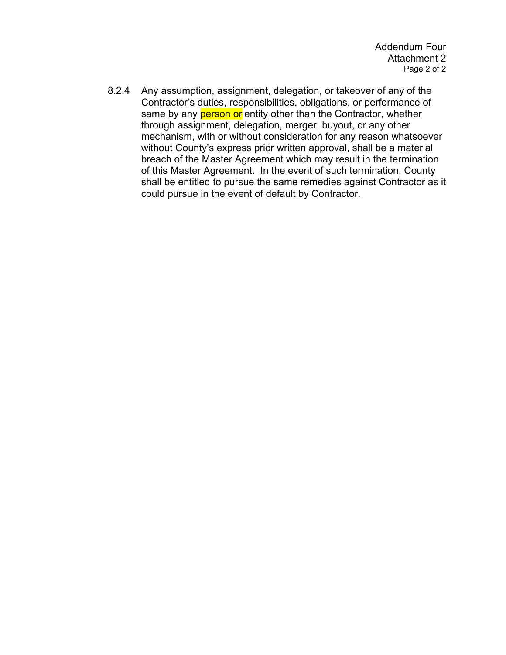8.2.4 Any assumption, assignment, delegation, or takeover of any of the Contractor's duties, responsibilities, obligations, or performance of same by any **person or** entity other than the Contractor, whether through assignment, delegation, merger, buyout, or any other mechanism, with or without consideration for any reason whatsoever without County's express prior written approval, shall be a material breach of the Master Agreement which may result in the termination of this Master Agreement. In the event of such termination, County shall be entitled to pursue the same remedies against Contractor as it could pursue in the event of default by Contractor.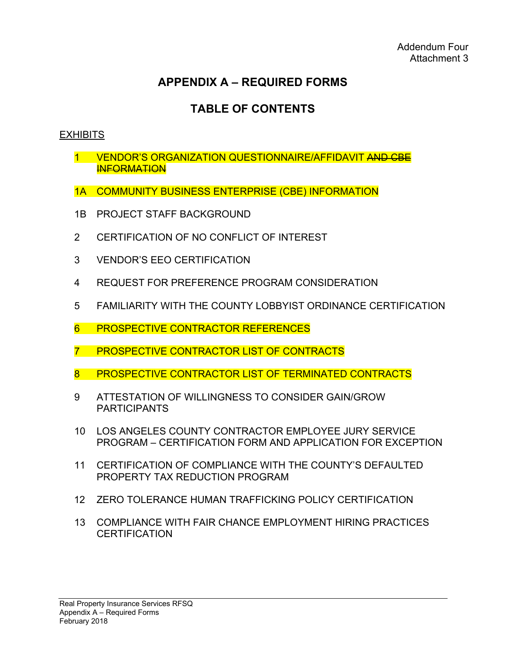# **TABLE OF CONTENTS**

# **EXHIBITS**

- 1 VENDOR'S ORGANIZATION QUESTIONNAIRE/AFFIDAVIT AND CBE **INFORMATION**
- 1A COMMUNITY BUSINESS ENTERPRISE (CBE) INFORMATION
- 1B PROJECT STAFF BACKGROUND
- 2 CERTIFICATION OF NO CONFLICT OF INTEREST
- 3 VENDOR'S EEO CERTIFICATION
- 4 REQUEST FOR PREFERENCE PROGRAM CONSIDERATION
- 5 FAMILIARITY WITH THE COUNTY LOBBYIST ORDINANCE CERTIFICATION
- 6 PROSPECTIVE CONTRACTOR REFERENCES
- 7 PROSPECTIVE CONTRACTOR LIST OF CONTRACTS
- 8 PROSPECTIVE CONTRACTOR LIST OF TERMINATED CONTRACTS
- 9 ATTESTATION OF WILLINGNESS TO CONSIDER GAIN/GROW PARTICIPANTS
- 10 LOS ANGELES COUNTY CONTRACTOR EMPLOYEE JURY SERVICE PROGRAM – CERTIFICATION FORM AND APPLICATION FOR EXCEPTION
- 11 CERTIFICATION OF COMPLIANCE WITH THE COUNTY'S DEFAULTED PROPERTY TAX REDUCTION PROGRAM
- 12 ZERO TOLERANCE HUMAN TRAFFICKING POLICY CERTIFICATION
- 13 COMPLIANCE WITH FAIR CHANCE EMPLOYMENT HIRING PRACTICES **CERTIFICATION**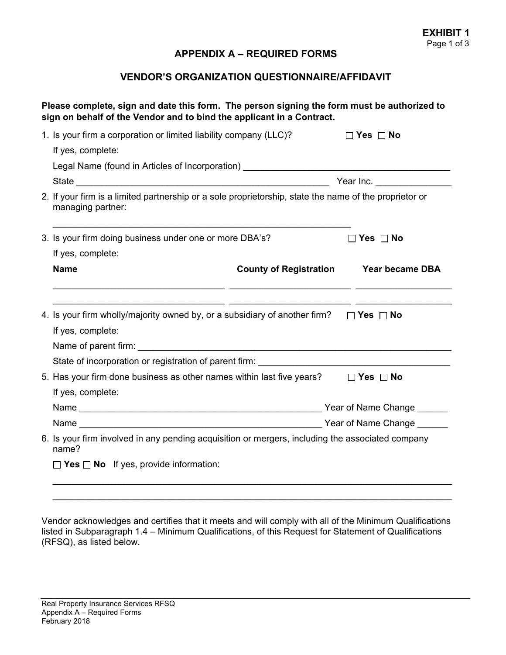#### **VENDOR'S ORGANIZATION QUESTIONNAIRE/AFFIDAVIT**

|                                                                                                                                                                                                                         | sign on behalf of the Vendor and to bind the applicant in a Contract.                                                                                                                            |                        |  |  |  |  |
|-------------------------------------------------------------------------------------------------------------------------------------------------------------------------------------------------------------------------|--------------------------------------------------------------------------------------------------------------------------------------------------------------------------------------------------|------------------------|--|--|--|--|
| 1. Is your firm a corporation or limited liability company (LLC)?                                                                                                                                                       |                                                                                                                                                                                                  | $\Box$ Yes $\Box$ No   |  |  |  |  |
| If yes, complete:                                                                                                                                                                                                       |                                                                                                                                                                                                  |                        |  |  |  |  |
| Legal Name (found in Articles of Incorporation) ________________________________                                                                                                                                        |                                                                                                                                                                                                  |                        |  |  |  |  |
|                                                                                                                                                                                                                         |                                                                                                                                                                                                  |                        |  |  |  |  |
| 2. If your firm is a limited partnership or a sole proprietorship, state the name of the proprietor or<br>managing partner:                                                                                             |                                                                                                                                                                                                  |                        |  |  |  |  |
| 3. Is your firm doing business under one or more DBA's?                                                                                                                                                                 |                                                                                                                                                                                                  | $\Box$ Yes $\Box$ No   |  |  |  |  |
| If yes, complete:                                                                                                                                                                                                       |                                                                                                                                                                                                  |                        |  |  |  |  |
| <b>Name</b>                                                                                                                                                                                                             | <b>County of Registration</b><br><u> 1999 - Jacques Alexandro (h. 1989).</u><br>1900 - John Britt, francuski filozof, francuski filozof, francuski filozof, francuski filozof, francuski filozof | <b>Year became DBA</b> |  |  |  |  |
| <u> 1990 - Jacques Alexandro II, poeta estadounidense de la contradición de la contradición de la contradición d</u><br>4. Is your firm wholly/majority owned by, or a subsidiary of another firm? $\Box$ Yes $\Box$ No |                                                                                                                                                                                                  |                        |  |  |  |  |
| If yes, complete:                                                                                                                                                                                                       |                                                                                                                                                                                                  |                        |  |  |  |  |
|                                                                                                                                                                                                                         |                                                                                                                                                                                                  |                        |  |  |  |  |
| State of incorporation or registration of parent firm: __________________________                                                                                                                                       |                                                                                                                                                                                                  |                        |  |  |  |  |
| 5. Has your firm done business as other names within last five years? $\Box$ Yes $\Box$ No                                                                                                                              |                                                                                                                                                                                                  |                        |  |  |  |  |
| If yes, complete:                                                                                                                                                                                                       |                                                                                                                                                                                                  |                        |  |  |  |  |
|                                                                                                                                                                                                                         |                                                                                                                                                                                                  |                        |  |  |  |  |
|                                                                                                                                                                                                                         |                                                                                                                                                                                                  |                        |  |  |  |  |
| 6. Is your firm involved in any pending acquisition or mergers, including the associated company<br>name?                                                                                                               |                                                                                                                                                                                                  |                        |  |  |  |  |
| $\Box$ Yes $\Box$ No If yes, provide information:                                                                                                                                                                       |                                                                                                                                                                                                  |                        |  |  |  |  |

Vendor acknowledges and certifies that it meets and will comply with all of the Minimum Qualifications listed in Subparagraph 1.4 – Minimum Qualifications, of this Request for Statement of Qualifications (RFSQ), as listed below.

 $\_$  , and the set of the set of the set of the set of the set of the set of the set of the set of the set of the set of the set of the set of the set of the set of the set of the set of the set of the set of the set of th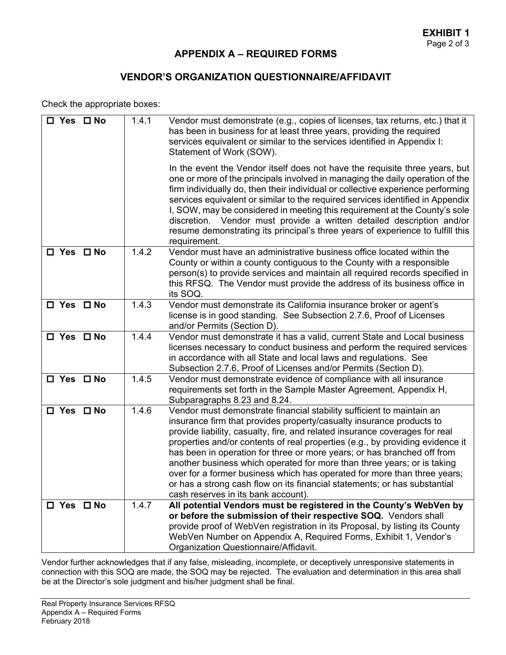### **VENDOR'S ORGANIZATION QUESTIONNAIRE/AFFIDAVIT**

Check the appropriate boxes:

| $\square$ Yes $\square$ No | 1.4.1 | Vendor must demonstrate (e.g., copies of licenses, tax returns, etc.) that it<br>has been in business for at least three years, providing the required<br>services equivalent or similar to the services identified in Appendix I:<br>Statement of Work (SOW).<br>In the event the Vendor itself does not have the requisite three years, but                                                                                                                                                                                                                                                                                                                       |
|----------------------------|-------|---------------------------------------------------------------------------------------------------------------------------------------------------------------------------------------------------------------------------------------------------------------------------------------------------------------------------------------------------------------------------------------------------------------------------------------------------------------------------------------------------------------------------------------------------------------------------------------------------------------------------------------------------------------------|
|                            |       | one or more of the principals involved in managing the daily operation of the<br>firm individually do, then their individual or collective experience performing<br>services equivalent or similar to the required services identified in Appendix<br>I, SOW, may be considered in meeting this requirement at the County's sole<br>discretion. Vendor must provide a written detailed description and/or<br>resume demonstrating its principal's three years of experience to fulfill this<br>requirement.                                                                                                                                                         |
| □ Yes □ No                 | 1.4.2 | Vendor must have an administrative business office located within the<br>County or within a county contiguous to the County with a responsible<br>person(s) to provide services and maintain all required records specified in<br>this RFSQ. The Vendor must provide the address of its business office in<br>its SOQ.                                                                                                                                                                                                                                                                                                                                              |
| $\square$ Yes $\square$ No | 1.4.3 | Vendor must demonstrate its California insurance broker or agent's<br>license is in good standing. See Subsection 2.7.6, Proof of Licenses<br>and/or Permits (Section D).                                                                                                                                                                                                                                                                                                                                                                                                                                                                                           |
| $\square$ Yes $\square$ No | 1.4.4 | Vendor must demonstrate it has a valid, current State and Local business<br>licenses necessary to conduct business and perform the required services<br>in accordance with all State and local laws and regulations. See<br>Subsection 2.7.6, Proof of Licenses and/or Permits (Section D).                                                                                                                                                                                                                                                                                                                                                                         |
| $\square$ Yes $\square$ No | 1.4.5 | Vendor must demonstrate evidence of compliance with all insurance<br>requirements set forth in the Sample Master Agreement, Appendix H,<br>Subparagraphs 8.23 and 8.24.                                                                                                                                                                                                                                                                                                                                                                                                                                                                                             |
| $\square$ Yes $\square$ No | 1.4.6 | Vendor must demonstrate financial stability sufficient to maintain an<br>insurance firm that provides property/casualty insurance products to<br>provide liability, casualty, fire, and related insurance coverages for real<br>properties and/or contents of real properties (e.g., by providing evidence it<br>has been in operation for three or more years; or has branched off from<br>another business which operated for more than three years; or is taking<br>over for a former business which has operated for more than three years;<br>or has a strong cash flow on its financial statements; or has substantial<br>cash reserves in its bank account). |
| $\square$ Yes $\square$ No | 1.4.7 | All potential Vendors must be registered in the County's WebVen by<br>or before the submission of their respective SOQ. Vendors shall<br>provide proof of WebVen registration in its Proposal, by listing its County<br>WebVen Number on Appendix A, Required Forms, Exhibit 1, Vendor's<br>Organization Questionnaire/Affidavit.                                                                                                                                                                                                                                                                                                                                   |

Vendor further acknowledges that if any false, misleading, incomplete, or deceptively unresponsive statements in connection with this SOQ are made, the SOQ may be rejected. The evaluation and determination in this area shall be at the Director's sole judgment and his/her judgment shall be final.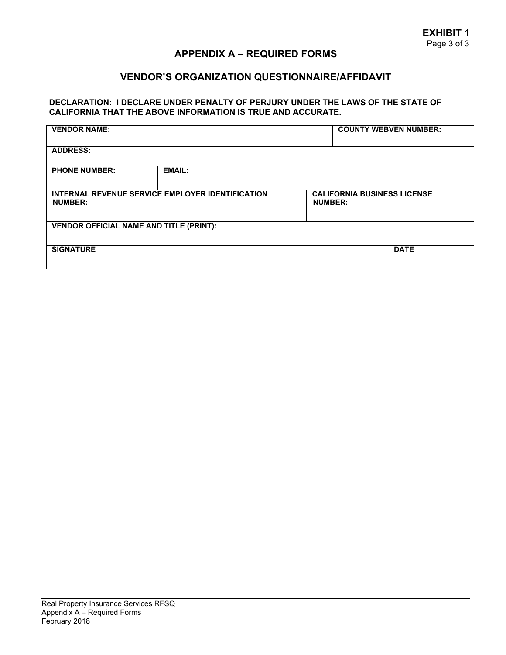## **VENDOR'S ORGANIZATION QUESTIONNAIRE/AFFIDAVIT**

#### **DECLARATION: I DECLARE UNDER PENALTY OF PERJURY UNDER THE LAWS OF THE STATE OF CALIFORNIA THAT THE ABOVE INFORMATION IS TRUE AND ACCURATE.**

| <b>VENDOR NAME:</b>                                                |               | <b>COUNTY WEBVEN NUMBER:</b>                         |  |  |  |
|--------------------------------------------------------------------|---------------|------------------------------------------------------|--|--|--|
| <b>ADDRESS:</b>                                                    |               |                                                      |  |  |  |
| <b>PHONE NUMBER:</b>                                               | <b>EMAIL:</b> |                                                      |  |  |  |
| INTERNAL REVENUE SERVICE EMPLOYER IDENTIFICATION<br><b>NUMBER:</b> |               | <b>CALIFORNIA BUSINESS LICENSE</b><br><b>NUMBER:</b> |  |  |  |
| <b>VENDOR OFFICIAL NAME AND TITLE (PRINT):</b>                     |               |                                                      |  |  |  |
| <b>SIGNATURE</b>                                                   |               | <b>DATE</b>                                          |  |  |  |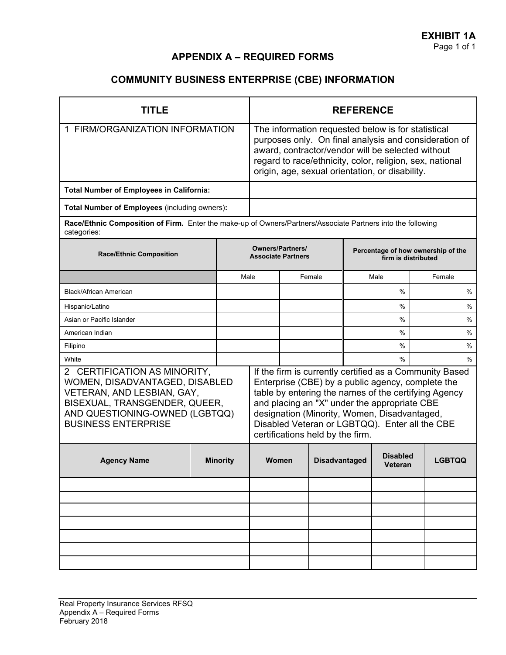# **COMMUNITY BUSINESS ENTERPRISE (CBE) INFORMATION**

| TITLE                                                                                                                                                                                         |  | <b>REFERENCE</b>                                                                                                                                                                                                                                                                |                                                                                                                                                                                                                                                                                                                                                            |                                                           |                      |  |                            |               |
|-----------------------------------------------------------------------------------------------------------------------------------------------------------------------------------------------|--|---------------------------------------------------------------------------------------------------------------------------------------------------------------------------------------------------------------------------------------------------------------------------------|------------------------------------------------------------------------------------------------------------------------------------------------------------------------------------------------------------------------------------------------------------------------------------------------------------------------------------------------------------|-----------------------------------------------------------|----------------------|--|----------------------------|---------------|
| 1 FIRM/ORGANIZATION INFORMATION                                                                                                                                                               |  | The information requested below is for statistical<br>purposes only. On final analysis and consideration of<br>award, contractor/vendor will be selected without<br>regard to race/ethnicity, color, religion, sex, national<br>origin, age, sexual orientation, or disability. |                                                                                                                                                                                                                                                                                                                                                            |                                                           |                      |  |                            |               |
| <b>Total Number of Employees in California:</b>                                                                                                                                               |  |                                                                                                                                                                                                                                                                                 |                                                                                                                                                                                                                                                                                                                                                            |                                                           |                      |  |                            |               |
| Total Number of Employees (including owners):                                                                                                                                                 |  |                                                                                                                                                                                                                                                                                 |                                                                                                                                                                                                                                                                                                                                                            |                                                           |                      |  |                            |               |
| Race/Ethnic Composition of Firm. Enter the make-up of Owners/Partners/Associate Partners into the following<br>categories:                                                                    |  |                                                                                                                                                                                                                                                                                 |                                                                                                                                                                                                                                                                                                                                                            |                                                           |                      |  |                            |               |
| <b>Race/Ethnic Composition</b>                                                                                                                                                                |  | <b>Owners/Partners/</b><br><b>Associate Partners</b>                                                                                                                                                                                                                            |                                                                                                                                                                                                                                                                                                                                                            | Percentage of how ownership of the<br>firm is distributed |                      |  |                            |               |
|                                                                                                                                                                                               |  | Male                                                                                                                                                                                                                                                                            |                                                                                                                                                                                                                                                                                                                                                            |                                                           | Female               |  | Male                       | Female        |
| <b>Black/African American</b>                                                                                                                                                                 |  |                                                                                                                                                                                                                                                                                 |                                                                                                                                                                                                                                                                                                                                                            |                                                           |                      |  | $\%$                       | %             |
| Hispanic/Latino                                                                                                                                                                               |  |                                                                                                                                                                                                                                                                                 |                                                                                                                                                                                                                                                                                                                                                            |                                                           |                      |  | $\%$                       | %             |
| Asian or Pacific Islander                                                                                                                                                                     |  |                                                                                                                                                                                                                                                                                 |                                                                                                                                                                                                                                                                                                                                                            |                                                           |                      |  | %                          | $\%$          |
| American Indian                                                                                                                                                                               |  |                                                                                                                                                                                                                                                                                 |                                                                                                                                                                                                                                                                                                                                                            |                                                           |                      |  | %                          | $\frac{0}{0}$ |
| Filipino                                                                                                                                                                                      |  |                                                                                                                                                                                                                                                                                 |                                                                                                                                                                                                                                                                                                                                                            |                                                           |                      |  | $\%$                       | %             |
| White                                                                                                                                                                                         |  |                                                                                                                                                                                                                                                                                 |                                                                                                                                                                                                                                                                                                                                                            |                                                           | $\%$                 |  | $\frac{0}{0}$              |               |
| 2 CERTIFICATION AS MINORITY,<br>WOMEN, DISADVANTAGED, DISABLED<br>VETERAN, AND LESBIAN, GAY,<br>BISEXUAL, TRANSGENDER, QUEER,<br>AND QUESTIONING-OWNED (LGBTQQ)<br><b>BUSINESS ENTERPRISE</b> |  |                                                                                                                                                                                                                                                                                 | If the firm is currently certified as a Community Based<br>Enterprise (CBE) by a public agency, complete the<br>table by entering the names of the certifying Agency<br>and placing an "X" under the appropriate CBE<br>designation (Minority, Women, Disadvantaged,<br>Disabled Veteran or LGBTQQ). Enter all the CBE<br>certifications held by the firm. |                                                           |                      |  |                            |               |
| <b>Agency Name</b>                                                                                                                                                                            |  | <b>Minority</b>                                                                                                                                                                                                                                                                 | Women                                                                                                                                                                                                                                                                                                                                                      |                                                           | <b>Disadvantaged</b> |  | <b>Disabled</b><br>Veteran | <b>LGBTQQ</b> |
|                                                                                                                                                                                               |  |                                                                                                                                                                                                                                                                                 |                                                                                                                                                                                                                                                                                                                                                            |                                                           |                      |  |                            |               |
|                                                                                                                                                                                               |  |                                                                                                                                                                                                                                                                                 |                                                                                                                                                                                                                                                                                                                                                            |                                                           |                      |  |                            |               |
|                                                                                                                                                                                               |  |                                                                                                                                                                                                                                                                                 |                                                                                                                                                                                                                                                                                                                                                            |                                                           |                      |  |                            |               |
|                                                                                                                                                                                               |  |                                                                                                                                                                                                                                                                                 |                                                                                                                                                                                                                                                                                                                                                            |                                                           |                      |  |                            |               |
|                                                                                                                                                                                               |  |                                                                                                                                                                                                                                                                                 |                                                                                                                                                                                                                                                                                                                                                            |                                                           |                      |  |                            |               |
|                                                                                                                                                                                               |  |                                                                                                                                                                                                                                                                                 |                                                                                                                                                                                                                                                                                                                                                            |                                                           |                      |  |                            |               |
|                                                                                                                                                                                               |  |                                                                                                                                                                                                                                                                                 |                                                                                                                                                                                                                                                                                                                                                            |                                                           |                      |  |                            |               |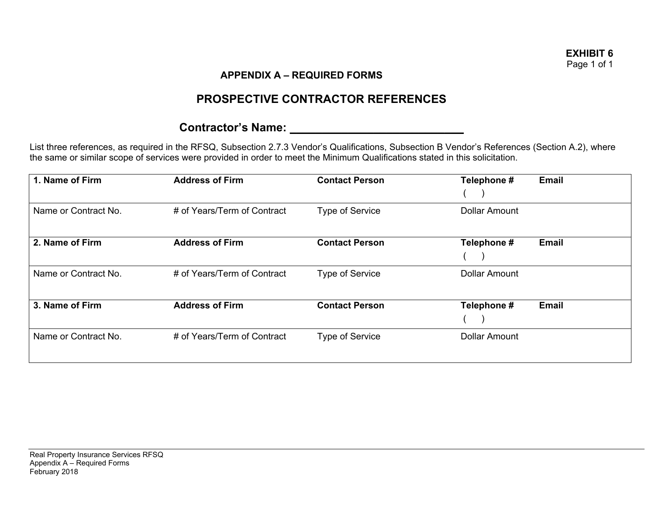# **PROSPECTIVE CONTRACTOR REFERENCES**

## **Contractor's Name: \_\_\_\_\_\_\_\_\_\_\_\_\_\_\_\_\_\_\_\_\_\_\_\_\_\_\_**

List three references, as required in the RFSQ, Subsection 2.7.3 Vendor's Qualifications, Subsection B Vendor's References (Section A.2), where the same or similar scope of services were provided in order to meet the Minimum Qualifications stated in this solicitation.

| 1. Name of Firm      | <b>Address of Firm</b>      | <b>Contact Person</b>  | Telephone #          | <b>Email</b> |
|----------------------|-----------------------------|------------------------|----------------------|--------------|
| Name or Contract No. | # of Years/Term of Contract | <b>Type of Service</b> | <b>Dollar Amount</b> |              |
| 2. Name of Firm      | <b>Address of Firm</b>      | <b>Contact Person</b>  | Telephone #          | <b>Email</b> |
| Name or Contract No. | # of Years/Term of Contract | <b>Type of Service</b> | <b>Dollar Amount</b> |              |
| 3. Name of Firm      | <b>Address of Firm</b>      | <b>Contact Person</b>  | Telephone #          | <b>Email</b> |
| Name or Contract No. | # of Years/Term of Contract | <b>Type of Service</b> | <b>Dollar Amount</b> |              |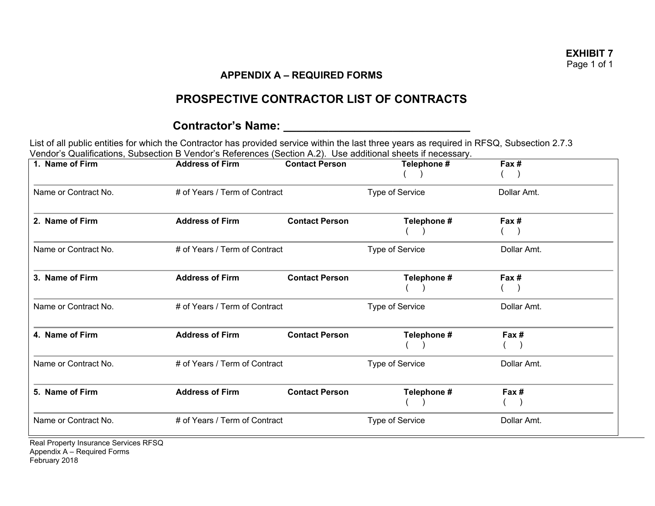# **PROSPECTIVE CONTRACTOR LIST OF CONTRACTS**

# **Contractor's Name: \_\_\_\_\_\_\_\_\_\_\_\_\_\_\_\_\_\_\_\_\_\_\_\_\_\_\_\_\_**

List of all public entities for which the Contractor has provided service within the last three years as required in RFSQ, Subsection 2.7.3 Vendor's Qualifications, Subsection B Vendor's References (Section A.2). Use additional sheets if necessary.

| 1. Name of Firm                       | <b>Address of Firm</b>        | <b>Contact Person</b> | Telephone #     | Fax#        |
|---------------------------------------|-------------------------------|-----------------------|-----------------|-------------|
| Name or Contract No.                  | # of Years / Term of Contract |                       | Type of Service | Dollar Amt. |
| 2. Name of Firm                       | <b>Address of Firm</b>        | <b>Contact Person</b> | Telephone #     | Fax #       |
| Name or Contract No.                  | # of Years / Term of Contract |                       | Type of Service | Dollar Amt. |
| 3. Name of Firm                       | <b>Address of Firm</b>        | <b>Contact Person</b> | Telephone #     | Fax #       |
| Name or Contract No.                  | # of Years / Term of Contract |                       | Type of Service | Dollar Amt. |
| 4. Name of Firm                       | <b>Address of Firm</b>        | <b>Contact Person</b> | Telephone #     | Fax #       |
| Name or Contract No.                  | # of Years / Term of Contract |                       | Type of Service | Dollar Amt. |
| 5. Name of Firm                       | <b>Address of Firm</b>        | <b>Contact Person</b> | Telephone #     | Fax #       |
| Name or Contract No.                  | # of Years / Term of Contract |                       | Type of Service | Dollar Amt. |
| Bool Proporty Ingurance Consigns BESO |                               |                       |                 |             |

Real Property Insurance Services RFSQ Appendix A – Required Forms February 2018